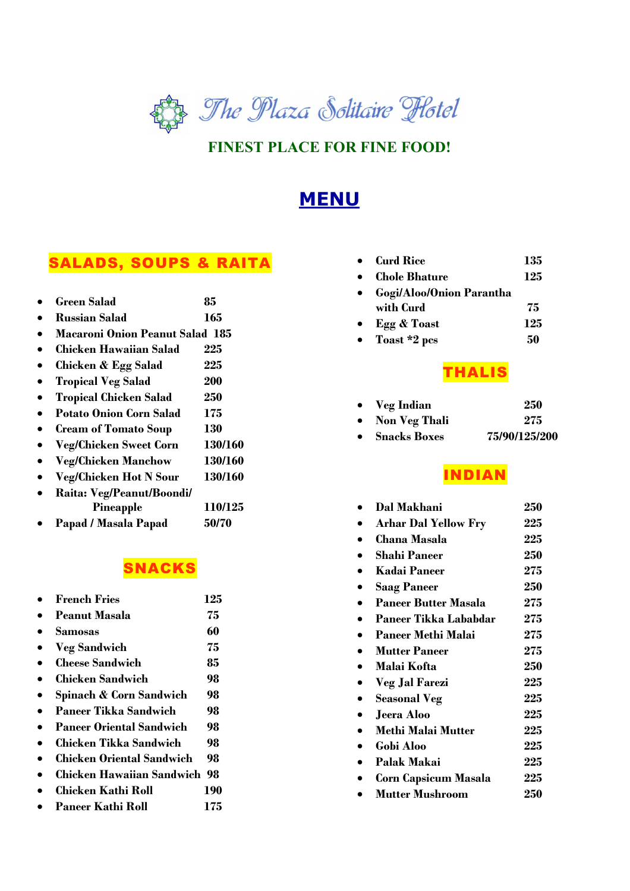

### **FINEST PLACE FOR FINE FOOD!**

# **MENU**

## SALADS, SOUPS & RAITA

| Green Salad                            | 85      |
|----------------------------------------|---------|
| Russian Salad                          | 165     |
| <b>Macaroni Onion Peanut Salad 185</b> |         |
| Chicken Hawaiian Salad                 | 225     |
| Chicken & Egg Salad                    | 225     |
| <b>Tropical Veg Salad</b>              | 200     |
| <b>Tropical Chicken Salad</b>          | 250     |
| <b>Potato Onion Corn Salad</b>         | 175     |
| <b>Cream of Tomato Soup</b>            | 130     |
| <b>Veg/Chicken Sweet Corn</b>          | 130/160 |
| <b>Veg/Chicken Manchow</b>             | 130/160 |
| <b>Veg/Chicken Hot N Sour</b>          | 130/160 |
| Raita: Veg/Peanut/Boondi/              |         |
| Pineapple                              | 110/125 |
| Papad / Masala Papad                   | 50/70   |
|                                        |         |

### SNACKS

| <b>French Fries</b>             | 125 |
|---------------------------------|-----|
| Peanut Masala                   | 75  |
| Samosas                         | 60  |
| <b>Veg Sandwich</b>             | 75  |
| <b>Cheese Sandwich</b>          | 85  |
| Chicken Sandwich                | 98  |
| Spinach & Corn Sandwich         | 98  |
| Paneer Tikka Sandwich           | 98  |
| <b>Paneer Oriental Sandwich</b> | 98  |
| Chicken Tikka Sandwich          | 98  |
| Chicken Oriental Sandwich       | 98  |
| Chicken Hawaiian Sandwich-      | 98  |
| Chicken Kathi Roll              | 190 |
| Paneer Kathi Roll               | 175 |
|                                 |     |

| $\bullet$ Curd Rice        | 135 |
|----------------------------|-----|
| $\bullet$ - Chole Bhature  | 125 |
| • Gogi/Aloo/Onion Parantha |     |

- **with Curd 75**  • **Egg & Toast 125**
- **Toast \*2 pcs** 50

## THALIS

| $\bullet$ Veg Indian | 250           |
|----------------------|---------------|
| • Non Veg Thali      | 275           |
| • Snacks Boxes       | 75/90/125/200 |

## INDIAN

| Dal Makhani                  | 250 |
|------------------------------|-----|
| <b>Arhar Dal Yellow Fry</b>  | 225 |
| Chana Masala                 | 225 |
| <b>Shahi Paneer</b>          | 250 |
| <b>Kadai Paneer</b>          | 275 |
| <b>Saag Paneer</b>           | 250 |
| <b>Paneer Butter Masala</b>  | 275 |
| <b>Paneer Tikka Lababdar</b> | 275 |
| <b>Paneer Methi Malai</b>    | 275 |
| <b>Mutter Paneer</b>         | 275 |
| Malai Kofta                  | 250 |
| <b>Veg Jal Farezi</b>        | 225 |
| <b>Seasonal Veg</b>          | 225 |
| <b>Jeera Aloo</b>            | 225 |
| <b>Methi Malai Mutter</b>    | 225 |
| Gobi Aloo                    | 225 |
| Palak Makai                  | 225 |
| <b>Corn Capsicum Masala</b>  | 225 |
| <b>Mutter Mushroom</b>       | 250 |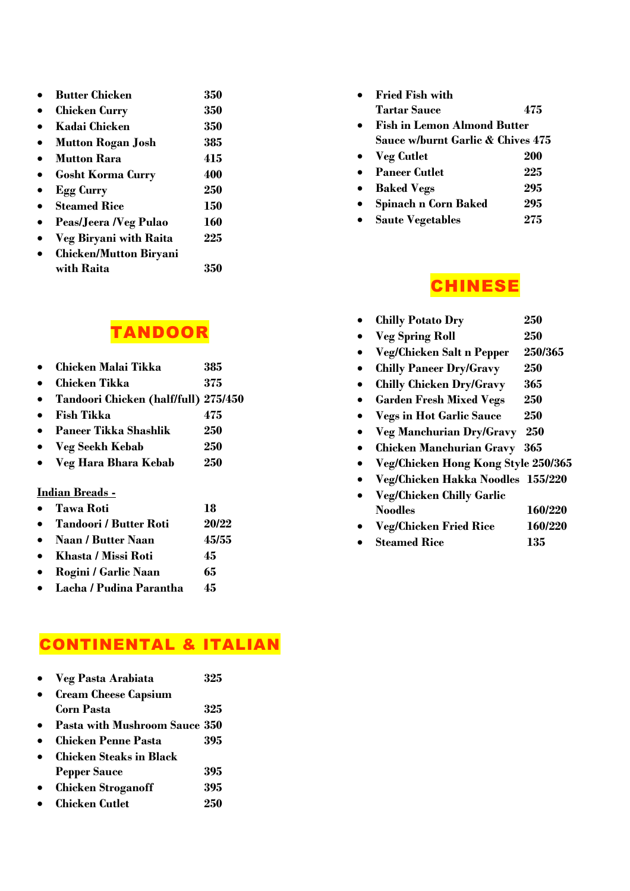| <b>Butter Chicken</b>         | 350        |
|-------------------------------|------------|
| <b>Chicken Curry</b>          | 350        |
| Kadai Chicken                 | 350        |
| <b>Mutton Rogan Josh</b>      | 385        |
| <b>Mutton Rara</b>            | 415        |
| <b>Gosht Korma Curry</b>      | 400        |
| <b>Egg Curry</b>              | 250        |
| <b>Steamed Rice</b>           | 150        |
| Peas/Jeera /Veg Pulao         | <b>160</b> |
| <b>Veg Biryani with Raita</b> | 225        |
| <b>Chicken/Mutton Biryani</b> |            |
| with Raita                    | 35         |

## TANDOOR

- **Chicken Malai Tikka 385**
- **Chicken Tikka 375**
- **Tandoori Chicken (half/full) 275/450**
- **Fish Tikka 475**
- **Paneer Tikka Shashlik 250**
- **Veg Seekh Kebab 250**
- **Veg Hara Bhara Kebab 250**

#### **Indian Breads -**

| Tawa Roti | 18 |
|-----------|----|
|-----------|----|

- **Tandoori / Butter Roti 20/22**
- **Naan / Butter Naan 45/55**
- **Khasta / Missi Roti 45**
- **Rogini / Garlic Naan 65**
- **Lacha / Pudina Parantha 45**

## CONTINENTAL & ITALIAN

| <b>Veg Pasta Arabiata</b> | 325 |
|---------------------------|-----|
|                           |     |

- **Cream Cheese Capsium Corn Pasta 325**
- **Pasta with Mushroom Sauce 350**
- **Chicken Penne Pasta 395**
- **Chicken Steaks in Black Pepper Sauce 395**
- **Chicken Stroganoff 395**
- **Chicken Cutlet 250**

| <b>Fried Fish with</b>             |     |
|------------------------------------|-----|
| Tartar Sauce                       | 475 |
| <b>Fish in Lemon Almond Butter</b> |     |
| Sauce w/burnt Garlic & Chives 475  |     |
| <b>Veg Cutlet</b>                  | 200 |
| <b>Paneer Cutlet</b>               | 225 |
| <b>Baked Vegs</b>                  | 295 |
| Spinach n Corn Baked               | 295 |
| <b>Saute Vegetables</b>            | 275 |

### **CHINESE**

- **Chilly Potato Dry 250**
- **Veg Spring Roll 250**
- **Veg/Chicken Salt n Pepper 250/365**
- **Chilly Paneer Dry/Gravy 250**
- **Chilly Chicken Dry/Gravy 365**
- **Garden Fresh Mixed Vegs 250**
- **Vegs in Hot Garlic Sauce 250**
- **Veg Manchurian Dry/Gravy 250**
- **Chicken Manchurian Gravy 365**
- **Veg/Chicken Hong Kong Style 250/365**
- **Veg/Chicken Hakka Noodles 155/220**
- **Veg/Chicken Chilly Garlic Noodles 160/220**
- **Veg/Chicken Fried Rice 160/220**
- **Steamed Rice 135**